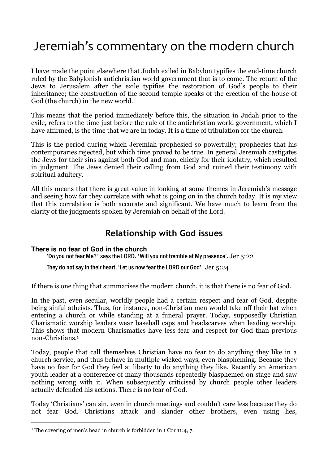# Jeremiah's commentary on the modern church

I have made the point elsewhere that Judah exiled in Babylon typifies the end-time church ruled by the Babylonish antichristian world government that is to come. The return of the Jews to Jerusalem after the exile typifies the restoration of God's people to their inheritance; the construction of the second temple speaks of the erection of the house of God (the church) in the new world.

This means that the period immediately before this, the situation in Judah prior to the exile, refers to the time just before the rule of the antichristian world government, which I have affirmed, is the time that we are in today. It is a time of tribulation for the church.

This is the period during which Jeremiah prophesied so powerfully; prophecies that his contemporaries rejected, but which time proved to be true. In general Jeremiah castigates the Jews for their sins against both God and man, chiefly for their idolatry, which resulted in judgment. The Jews denied their calling from God and ruined their testimony with spiritual adultery.

All this means that there is great value in looking at some themes in Jeremiah's message and seeing how far they correlate with what is going on in the church today. It is my view that this correlation is both accurate and significant. We have much to learn from the clarity of the judgments spoken by Jeremiah on behalf of the Lord.

## Relationship with God issues

### **There is no fear of God in the church**

'Do you not fear Me?' says the LORD. 'Will you not tremble at My presence'. Jer 5:22

They do not say in their heart, 'Let us now fear the LORD our God'. Jer 5:24

If there is one thing that summarises the modern church, it is that there is no fear of God.

In the past, even secular, worldly people had a certain respect and fear of God, despite being sinful atheists. Thus, for instance, non-Christian men would take off their hat when entering a church or while standing at a funeral prayer. Today, supposedly Christian Charismatic worship leaders wear baseball caps and headscarves when leading worship. This shows that modern Charismatics have less fear and respect for God than previous non-Christians.<sup>1</sup>

Today, people that call themselves Christian have no fear to do anything they like in a church service, and thus behave in multiple wicked ways, even blaspheming. Because they have no fear for God they feel at liberty to do anything they like. Recently an American youth leader at a conference of many thousands repeatedly blasphemed on stage and saw nothing wrong with it. When subsequently criticised by church people other leaders actually defended his actions. There is no fear of God.

Today 'Christians' can sin, even in church meetings and couldn't care less because they do not fear God. Christians attack and slander other brothers, even using lies,

<sup>&</sup>lt;sup>1</sup> The covering of men's head in church is forbidden in 1 Cor 11:4, 7.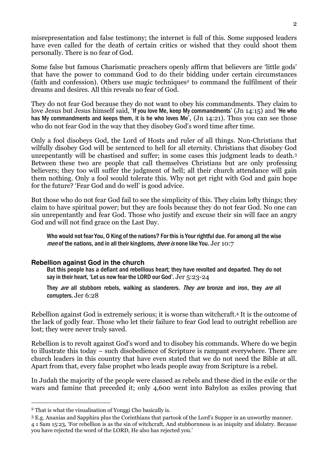misrepresentation and false testimony; the internet is full of this. Some supposed leaders have even called for the death of certain critics or wished that they could shoot them personally. There is no fear of God.

Some false but famous Charismatic preachers openly affirm that believers are 'little gods' that have the power to command God to do their bidding under certain circumstances (faith and confession). Others use magic techniques2 to command the fulfilment of their dreams and desires. All this reveals no fear of God.

They do not fear God because they do not want to obey his commandments. They claim to love Jesus but Jesus himself said, 'If you love Me, keep My commandments' (Jn 14:15) and 'He who has My commandments and keeps them, it is he who loves Me', (Jn 14:21). Thus you can see those who do not fear God in the way that they disobey God's word time after time.

Only a fool disobeys God, the Lord of Hosts and ruler of all things. Non-Christians that wilfully disobey God will be sentenced to hell for all eternity. Christians that disobey God unrepentantly will be chastised and suffer; in some cases this judgment leads to death.<sup>3</sup> Between these two are people that call themselves Christians but are only professing believers; they too will suffer the judgment of hell; all their church attendance will gain them nothing. Only a fool would tolerate this. Why not get right with God and gain hope for the future? 'Fear God and do well' is good advice.

But those who do not fear God fail to see the simplicity of this. They claim lofty things; they claim to have spiritual power; but they are fools because they do not fear God. No one can sin unrepentantly and fear God. Those who justify and excuse their sin will face an angry God and will not find grace on the Last Day.

Who would not fear You, O King of the nations? For this is Your rightful due. For among all the wise men of the nations, and in all their kingdoms, there is none like You. Jer 10:7

### **Rebellion against God in the church**

But this people has a defiant and rebellious heart; they have revolted and departed. They do not say in their heart, 'Let us now fear the LORD our God'. Jer 5:23-24

They are all stubborn rebels, walking as slanderers. They are bronze and iron, they are all corrupters. Jer 6:28

Rebellion against God is extremely serious; it is worse than witchcraft.4 It is the outcome of the lack of godly fear. Those who let their failure to fear God lead to outright rebellion are lost; they were never truly saved.

Rebellion is to revolt against God's word and to disobey his commands. Where do we begin to illustrate this today – such disobedience of Scripture is rampant everywhere. There are church leaders in this country that have even stated that we do not need the Bible at all. Apart from that, every false prophet who leads people away from Scripture is a rebel.

In Judah the majority of the people were classed as rebels and these died in the exile or the wars and famine that preceded it; only 4,600 went into Babylon as exiles proving that

<sup>2</sup> That is what the visualisation of Yonggi Cho basically is.

<sup>3</sup> E.g. Ananias and Sapphira plus the Corinthians that partook of the Lord's Supper in an unworthy manner. 4 1 Sam 15:23, 'For rebellion is as the sin of witchcraft, And stubbornness is as iniquity and idolatry. Because you have rejected the word of the LORD, He also has rejected you.'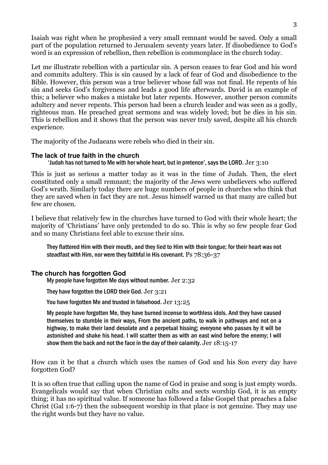Isaiah was right when he prophesied a very small remnant would be saved. Only a small part of the population returned to Jerusalem seventy years later. If disobedience to God's word is an expression of rebellion, then rebellion is commonplace in the church today.

Let me illustrate rebellion with a particular sin. A person ceases to fear God and his word and commits adultery. This is sin caused by a lack of fear of God and disobedience to the Bible. However, this person was a true believer whose fall was not final. He repents of his sin and seeks God's forgiveness and leads a good life afterwards. David is an example of this; a believer who makes a mistake but later repents. However, another person commits adultery and never repents. This person had been a church leader and was seen as a godly, righteous man. He preached great sermons and was widely loved; but he dies in his sin. This is rebellion and it shows that the person was never truly saved, despite all his church experience.

The majority of the Judaeans were rebels who died in their sin.

### **The lack of true faith in the church**

### 'Judah has not turned to Me with her whole heart, but in pretence', says the LORD. Jer 3:10

This is just as serious a matter today as it was in the time of Judah. Then, the elect constituted only a small remnant; the majority of the Jews were unbelievers who suffered God's wrath. Similarly today there are huge numbers of people in churches who think that they are saved when in fact they are not. Jesus himself warned us that many are called but few are chosen.

I believe that relatively few in the churches have turned to God with their whole heart; the majority of 'Christians' have only pretended to do so. This is why so few people fear God and so many Christians feel able to excuse their sins.

They flattered Him with their mouth, and they lied to Him with their tongue; for their heart was not steadfast with Him, nor were they faithful in His covenant. Ps 78:36-37

### **The church has forgotten God**

My people have forgotten Me days without number. Jer 2:32

They have forgotten the LORD their God. Jer 3:21

You have forgotten Me and trusted in falsehood. Jer 13:25

My people have forgotten Me, they have burned incense to worthless idols. And they have caused themselves to stumble in their ways, From the ancient paths, to walk in pathways and not on a highway, to make their land desolate and a perpetual hissing; everyone who passes by it will be astonished and shake his head. I will scatter them as with an east wind before the enemy; I will show them the back and not the face in the day of their calamity. Jer 18:15-17

How can it be that a church which uses the names of God and his Son every day have forgotten God?

It is so often true that calling upon the name of God in praise and song is just empty words. Evangelicals would say that when Christian cults and sects worship God, it is an empty thing; it has no spiritual value. If someone has followed a false Gospel that preaches a false Christ (Gal 1:6-7) then the subsequent worship in that place is not genuine. They may use the right words but they have no value.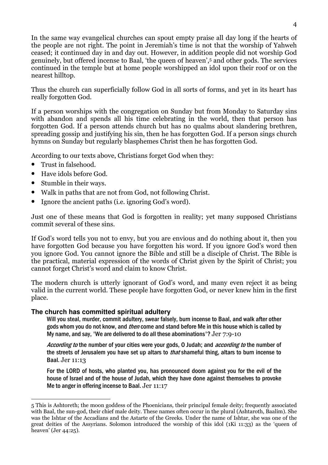In the same way evangelical churches can spout empty praise all day long if the hearts of the people are not right. The point in Jeremiah's time is not that the worship of Yahweh ceased; it continued day in and day out. However, in addition people did not worship God genuinely, but offered incense to Baal, 'the queen of heaven',5 and other gods. The services continued in the temple but at home people worshipped an idol upon their roof or on the nearest hilltop.

Thus the church can superficially follow God in all sorts of forms, and yet in its heart has really forgotten God.

If a person worships with the congregation on Sunday but from Monday to Saturday sins with abandon and spends all his time celebrating in the world, then that person has forgotten God. If a person attends church but has no qualms about slandering brethren, spreading gossip and justifying his sin, then he has forgotten God. If a person sings church hymns on Sunday but regularly blasphemes Christ then he has forgotten God.

According to our texts above, Christians forget God when they:

- Trust in falsehood.
- Have idols before God.
- Stumble in their ways.
- Walk in paths that are not from God, not following Christ.
- Ignore the ancient paths (i.e. ignoring God's word).

Just one of these means that God is forgotten in reality; yet many supposed Christians commit several of these sins.

If God's word tells you not to envy, but you are envious and do nothing about it, then you have forgotten God because you have forgotten his word. If you ignore God's word then you ignore God. You cannot ignore the Bible and still be a disciple of Christ. The Bible is the practical, material expression of the words of Christ given by the Spirit of Christ; you cannot forget Christ's word and claim to know Christ.

The modern church is utterly ignorant of God's word, and many even reject it as being valid in the current world. These people have forgotten God, or never knew him in the first place.

### **The church has committed spiritual adultery**

Will you steal, murder, commit adultery, swear falsely, burn incense to Baal, and walk after other gods whom you do not know, and *then* come and stand before Me in this house which is called by My name, and say, 'We are delivered to do all these abominations'? Jer  $7:9-10$ 

According to the number of your cities were your gods, O Judah; and *according to* the number of the streets of Jerusalem you have set up altars to *that* shameful thing, altars to burn incense to Baal. Jer 11:13

For the LORD of hosts, who planted you, has pronounced doom against you for the evil of the house of Israel and of the house of Judah, which they have done against themselves to provoke Me to anger in offering incense to Baal. Jer 11:17

 $\overline{a}$ 5 This is Ashtoreth; the moon goddess of the Phoenicians, their principal female deity; frequently associated with Baal, the sun-god, their chief male deity. These names often occur in the plural (Ashtaroth, Baalim). She was the Ishtar of the Accadians and the Astarte of the Greeks. Under the name of Ishtar, she was one of the great deities of the Assyrians. Solomon introduced the worship of this idol (1Ki 11:33) as the 'queen of heaven' (Jer 44:25).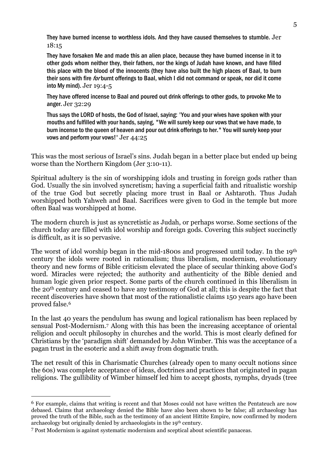They have burned incense to worthless idols. And they have caused themselves to stumble. Jer 18:15

They have forsaken Me and made this an alien place, because they have burned incense in it to other gods whom neither they, their fathers, nor the kings of Judah have known, and have filled this place with the blood of the innocents (they have also built the high places of Baal, to burn their sons with fire *for* burnt offerings to Baal, which I did not command or speak, nor did it come into My mind). Jer 19:4-5

They have offered incense to Baal and poured out drink offerings to other gods, to provoke Me to anger. Jer 32:29

Thus says the LORD of hosts, the God of Israel, saying: 'You and your wives have spoken with your mouths and fulfilled with your hands, saying, "We will surely keep our vows that we have made, to burn incense to the queen of heaven and pour out drink offerings to her." You will surely keep your vows and perform your vows!' Jer 44:25

This was the most serious of Israel's sins. Judah began in a better place but ended up being worse than the Northern Kingdom (Jer 3:10-11).

Spiritual adultery is the sin of worshipping idols and trusting in foreign gods rather than God. Usually the sin involved syncretism; having a superficial faith and ritualistic worship of the true God but secretly placing more trust in Baal or Ashtaroth. Thus Judah worshipped both Yahweh and Baal. Sacrifices were given to God in the temple but more often Baal was worshipped at home.

The modern church is just as syncretistic as Judah, or perhaps worse. Some sections of the church today are filled with idol worship and foreign gods. Covering this subject succinctly is difficult, as it is so pervasive.

The worst of idol worship began in the mid-1800s and progressed until today. In the 19th century the idols were rooted in rationalism; thus liberalism, modernism, evolutionary theory and new forms of Bible criticism elevated the place of secular thinking above God's word. Miracles were rejected; the authority and authenticity of the Bible denied and human logic given prior respect. Some parts of the church continued in this liberalism in the 20th century and ceased to have any testimony of God at all; this is despite the fact that recent discoveries have shown that most of the rationalistic claims 150 years ago have been proved false.<sup>6</sup>

In the last 40 years the pendulum has swung and logical rationalism has been replaced by sensual Post-Modernism.7 Along with this has been the increasing acceptance of oriental religion and occult philosophy in churches and the world. This is most clearly defined for Christians by the 'paradigm shift' demanded by John Wimber. This was the acceptance of a pagan trust in the esoteric and a shift away from dogmatic truth.

The net result of this in Charismatic Churches (already open to many occult notions since the 60s) was complete acceptance of ideas, doctrines and practices that originated in pagan religions. The gullibility of Wimber himself led him to accept ghosts, nymphs, dryads (tree

<sup>6</sup> For example, claims that writing is recent and that Moses could not have written the Pentateuch are now debased. Claims that archaeology denied the Bible have also been shown to be false; all archaeology has proved the truth of the Bible, such as the testimony of an ancient Hittite Empire, now confirmed by modern archaeology but originally denied by archaeologists in the 19th century.

<sup>7</sup> Post Modernism is against systematic modernism and sceptical about scientific panaceas.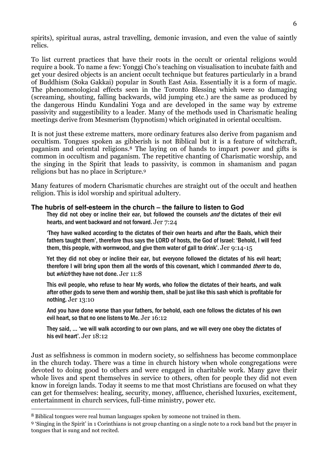spirits), spiritual auras, astral travelling, demonic invasion, and even the value of saintly relics.

To list current practices that have their roots in the occult or oriental religions would require a book. To name a few: Yonggi Cho's teaching on visualisation to incubate faith and get your desired objects is an ancient occult technique but features particularly in a brand of Buddhism (Soka Gakkai) popular in South East Asia. Essentially it is a form of magic. The phenomenological effects seen in the Toronto Blessing which were so damaging (screaming, shouting, falling backwards, wild jumping etc.) are the same as produced by the dangerous Hindu Kundalini Yoga and are developed in the same way by extreme passivity and suggestibility to a leader. Many of the methods used in Charismatic healing meetings derive from Mesmerism (hypnotism) which originated in oriental occultism.

It is not just these extreme matters, more ordinary features also derive from paganism and occultism. Tongues spoken as gibberish is not Biblical but it is a feature of witchcraft, paganism and oriental religions.8 The laying on of hands to impart power and gifts is common in occultism and paganism. The repetitive chanting of Charismatic worship, and the singing in the Spirit that leads to passivity, is common in shamanism and pagan religions but has no place in Scripture.<sup>9</sup>

Many features of modern Charismatic churches are straight out of the occult and heathen religion. This is idol worship and spiritual adultery.

#### **The hubris of self-esteem in the church – the failure to listen to God**

They did not obey or incline their ear, but followed the counsels *and* the dictates of their evil hearts, and went backward and not forward. Jer 7:24

'They have walked according to the dictates of their own hearts and after the Baals, which their fathers taught them', therefore thus says the LORD of hosts, the God of Israel: 'Behold, I will feed them, this people, with wormwood, and give them water of gall to drink'. Jer 9:14-15

Yet they did not obey or incline their ear, but everyone followed the dictates of his evil heart; therefore I will bring upon them all the words of this covenant, which I commanded *them* to do, but *which* they have not done. Jer 11:8

This evil people, who refuse to hear My words, who follow the dictates of their hearts, and walk after other gods to serve them and worship them, shall be just like this sash which is profitable for nothing. Jer 13:10

And you have done worse than your fathers, for behold, each one follows the dictates of his own evil heart, so that no one listens to Me. Jer 16:12

They said, … 'we will walk according to our own plans, and we will every one obey the dictates of his evil heart'. Jer 18:12

Just as selfishness is common in modern society, so selfishness has become commonplace in the church today. There was a time in church history when whole congregations were devoted to doing good to others and were engaged in charitable work. Many gave their whole lives and spent themselves in service to others, often for people they did not even know in foreign lands. Today it seems to me that most Christians are focused on what they can get for themselves: healing, security, money, affluence, cherished luxuries, excitement, entertainment in church services, full-time ministry, power etc.

<sup>8</sup> Biblical tongues were real human languages spoken by someone not trained in them.

<sup>9</sup> 'Singing in the Spirit' in 1 Corinthians is not group chanting on a single note to a rock band but the prayer in tongues that is sung and not recited.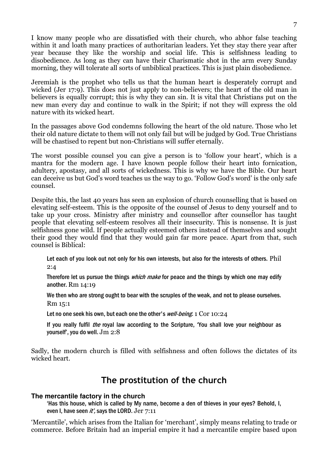I know many people who are dissatisfied with their church, who abhor false teaching within it and loath many practices of authoritarian leaders. Yet they stay there year after year because they like the worship and social life. This is selfishness leading to disobedience. As long as they can have their Charismatic shot in the arm every Sunday morning, they will tolerate all sorts of unbiblical practices. This is just plain disobedience.

Jeremiah is the prophet who tells us that the human heart is desperately corrupt and wicked (Jer 17:9). This does not just apply to non-believers; the heart of the old man in believers is equally corrupt; this is why they can sin. It is vital that Christians put on the new man every day and continue to walk in the Spirit; if not they will express the old nature with its wicked heart.

In the passages above God condemns following the heart of the old nature. Those who let their old nature dictate to them will not only fail but will be judged by God. True Christians will be chastised to repent but non-Christians will suffer eternally.

The worst possible counsel you can give a person is to 'follow your heart', which is a mantra for the modern age. I have known people follow their heart into fornication, adultery, apostasy, and all sorts of wickedness. This is why we have the Bible. Our heart can deceive us but God's word teaches us the way to go. 'Follow God's word' is the only safe counsel.

Despite this, the last 40 years has seen an explosion of church counselling that is based on elevating self-esteem. This is the opposite of the counsel of Jesus to deny yourself and to take up your cross. Ministry after ministry and counsellor after counsellor has taught people that elevating self-esteem resolves all their insecurity. This is nonsense. It is just selfishness gone wild. If people actually esteemed others instead of themselves and sought their good they would find that they would gain far more peace. Apart from that, such counsel is Biblical:

Let each of you look out not only for his own interests, but also for the interests of others. Phil 2:4

Therefore let us pursue the things *which make* for peace and the things by which one may edify another. Rm 14:19

We then who are strong ought to bear with the scruples of the weak, and not to please ourselves. Rm 15:1

Let no one seek his own, but each one the other's well-being. 1 Cor 10:24

If you really fulfil *the* royal law according to the Scripture, 'You shall love your neighbour as yourself', you do well. Jm 2:8

Sadly, the modern church is filled with selfishness and often follows the dictates of its wicked heart.

### The prostitution of the church

### **The mercantile factory in the church**

'Has this house, which is called by My name, become a den of thieves in your eyes? Behold, I, even I, have seen  $it'$ , says the LORD. Jer  $7:11$ 

'Mercantile', which arises from the Italian for 'merchant', simply means relating to trade or commerce. Before Britain had an imperial empire it had a mercantile empire based upon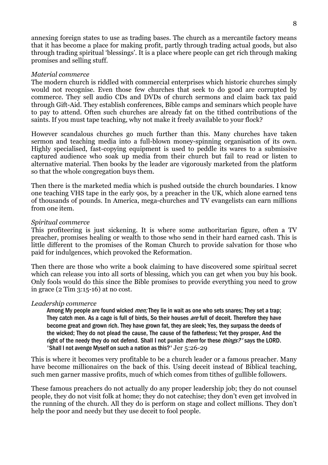annexing foreign states to use as trading bases. The church as a mercantile factory means that it has become a place for making profit, partly through trading actual goods, but also through trading spiritual 'blessings'. It is a place where people can get rich through making promises and selling stuff.

#### Material commerce

The modern church is riddled with commercial enterprises which historic churches simply would not recognise. Even those few churches that seek to do good are corrupted by commerce. They sell audio CDs and DVDs of church sermons and claim back tax paid through Gift-Aid. They establish conferences, Bible camps and seminars which people have to pay to attend. Often such churches are already fat on the tithed contributions of the saints. If you must tape teaching, why not make it freely available to your flock?

However scandalous churches go much further than this. Many churches have taken sermon and teaching media into a full-blown money-spinning organisation of its own. Highly specialised, fast-copying equipment is used to peddle its wares to a submissive captured audience who soak up media from their church but fail to read or listen to alternative material. Then books by the leader are vigorously marketed from the platform so that the whole congregation buys them.

Then there is the marketed media which is pushed outside the church boundaries. I know one teaching VHS tape in the early 90s, by a preacher in the UK, which alone earned tens of thousands of pounds. In America, mega-churches and TV evangelists can earn millions from one item.

#### Spiritual commerce

This profiteering is just sickening. It is where some authoritarian figure, often a TV preacher, promises healing or wealth to those who send in their hard earned cash. This is little different to the promises of the Roman Church to provide salvation for those who paid for indulgences, which provoked the Reformation.

Then there are those who write a book claiming to have discovered some spiritual secret which can release you into all sorts of blessing, which you can get when you buy his book. Only fools would do this since the Bible promises to provide everything you need to grow in grace (2 Tim 3:15-16) at no cost.

#### Leadership commerce

Among My people are found wicked *men;* They lie in wait as one who sets snares; They set a trap; They catch men. As a cage is full of birds. So their houses are full of deceit. Therefore they have become great and grown rich. They have grown fat, they are sleek; Yes, they surpass the deeds of the wicked; They do not plead the cause, The cause of the fatherless; Yet they prosper, And the right of the needy they do not defend. Shall I not punish *them* for these *things?'* says the LORD. 'Shall I not avenge Myself on such a nation as this?' Jer 5:26-29

This is where it becomes very profitable to be a church leader or a famous preacher. Many have become millionaires on the back of this. Using deceit instead of Biblical teaching, such men garner massive profits, much of which comes from tithes of gullible followers.

These famous preachers do not actually do any proper leadership job; they do not counsel people, they do not visit folk at home; they do not catechise; they don't even get involved in the running of the church. All they do is perform on stage and collect millions. They don't help the poor and needy but they use deceit to fool people.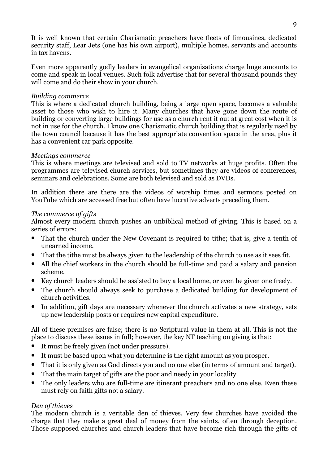It is well known that certain Charismatic preachers have fleets of limousines, dedicated security staff, Lear Jets (one has his own airport), multiple homes, servants and accounts in tax havens.

Even more apparently godly leaders in evangelical organisations charge huge amounts to come and speak in local venues. Such folk advertise that for several thousand pounds they will come and do their show in your church.

### Building commerce

This is where a dedicated church building, being a large open space, becomes a valuable asset to those who wish to hire it. Many churches that have gone down the route of building or converting large buildings for use as a church rent it out at great cost when it is not in use for the church. I know one Charismatic church building that is regularly used by the town council because it has the best appropriate convention space in the area, plus it has a convenient car park opposite.

### Meetings commerce

This is where meetings are televised and sold to TV networks at huge profits. Often the programmes are televised church services, but sometimes they are videos of conferences, seminars and celebrations. Some are both televised and sold as DVDs.

In addition there are there are the videos of worship times and sermons posted on YouTube which are accessed free but often have lucrative adverts preceding them.

### The commerce of gifts

Almost every modern church pushes an unbiblical method of giving. This is based on a series of errors:

- That the church under the New Covenant is required to tithe; that is, give a tenth of unearned income.
- That the tithe must be always given to the leadership of the church to use as it sees fit.
- All the chief workers in the church should be full-time and paid a salary and pension scheme.
- Key church leaders should be assisted to buy a local home, or even be given one freely.
- The church should always seek to purchase a dedicated building for development of church activities.
- In addition, gift days are necessary whenever the church activates a new strategy, sets up new leadership posts or requires new capital expenditure.

All of these premises are false; there is no Scriptural value in them at all. This is not the place to discuss these issues in full; however, the key NT teaching on giving is that:

- It must be freely given (not under pressure).
- It must be based upon what you determine is the right amount as you prosper.
- That it is only given as God directs you and no one else (in terms of amount and target).
- That the main target of gifts are the poor and needy in your locality.
- The only leaders who are full-time are itinerant preachers and no one else. Even these must rely on faith gifts not a salary.

### Den of thieves

The modern church is a veritable den of thieves. Very few churches have avoided the charge that they make a great deal of money from the saints, often through deception. Those supposed churches and church leaders that have become rich through the gifts of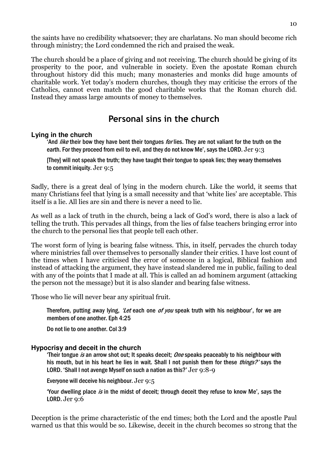the saints have no credibility whatsoever; they are charlatans. No man should become rich through ministry; the Lord condemned the rich and praised the weak.

The church should be a place of giving and not receiving. The church should be giving of its prosperity to the poor, and vulnerable in society. Even the apostate Roman church throughout history did this much; many monasteries and monks did huge amounts of charitable work. Yet today's modern churches, though they may criticise the errors of the Catholics, cannot even match the good charitable works that the Roman church did. Instead they amass large amounts of money to themselves.

### Personal sins in the church

#### **Lying in the church**

And *like* their bow they have bent their tongues *for* lies. They are not valiant for the truth on the earth. For they proceed from evil to evil, and they do not know Me', says the LORD. Jer 9:3

[They] will not speak the truth; they have taught their tongue to speak lies; they weary themselves to commit iniquity. Jer 9:5

Sadly, there is a great deal of lying in the modern church. Like the world, it seems that many Christians feel that lying is a small necessity and that 'white lies' are acceptable. This itself is a lie. All lies are sin and there is never a need to lie.

As well as a lack of truth in the church, being a lack of God's word, there is also a lack of telling the truth. This pervades all things, from the lies of false teachers bringing error into the church to the personal lies that people tell each other.

The worst form of lying is bearing false witness. This, in itself, pervades the church today where ministries fall over themselves to personally slander their critics. I have lost count of the times when I have criticised the error of someone in a logical, Biblical fashion and instead of attacking the argument, they have instead slandered me in public, failing to deal with any of the points that I made at all. This is called an ad hominem argument (attacking the person not the message) but it is also slander and bearing false witness.

Those who lie will never bear any spiritual fruit.

Therefore, putting away lying, 'Let each one of you speak truth with his neighbour', for we are members of one another. Eph 4:25

Do not lie to one another. Col 3:9

### **Hypocrisy and deceit in the church**

'Their tongue is an arrow shot out; It speaks deceit;  $One$  speaks peaceably to his neighbour with his mouth, but in his heart he lies in wait. Shall I not punish them for these *things?'* says the LORD. 'Shall I not avenge Myself on such a nation as this?' Jer 9:8-9

Everyone will deceive his neighbour. Jer 9:5

'Your dwelling place is in the midst of deceit; through deceit they refuse to know Me', says the LORD. Jer 9:6

Deception is the prime characteristic of the end times; both the Lord and the apostle Paul warned us that this would be so. Likewise, deceit in the church becomes so strong that the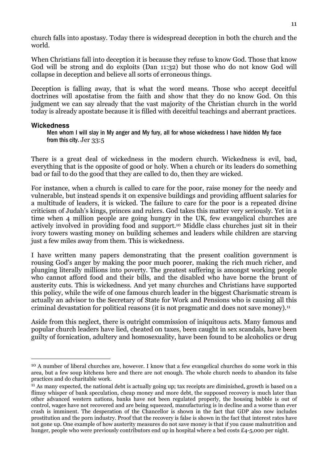church falls into apostasy. Today there is widespread deception in both the church and the world.

When Christians fall into deception it is because they refuse to know God. Those that know God will be strong and do exploits (Dan 11:32) but those who do not know God will collapse in deception and believe all sorts of erroneous things.

Deception is falling away, that is what the word means. Those who accept deceitful doctrines will apostatise from the faith and show that they do no know God. On this judgment we can say already that the vast majority of the Christian church in the world today is already apostate because it is filled with deceitful teachings and aberrant practices.

### **Wickedness**

 $\overline{a}$ 

Men whom I will slay in My anger and My fury, all for whose wickedness I have hidden My face from this city. Jer 33:5

There is a great deal of wickedness in the modern church. Wickedness is evil, bad, everything that is the opposite of good or holy. When a church or its leaders do something bad or fail to do the good that they are called to do, then they are wicked.

For instance, when a church is called to care for the poor, raise money for the needy and vulnerable, but instead spends it on expensive buildings and providing affluent salaries for a multitude of leaders, it is wicked. The failure to care for the poor is a repeated divine criticism of Judah's kings, princes and rulers. God takes this matter very seriously. Yet in a time when 4 million people are going hungry in the UK, few evangelical churches are actively involved in providing food and support.10 Middle class churches just sit in their ivory towers wasting money on building schemes and leaders while children are starving just a few miles away from them. This is wickedness.

I have written many papers demonstrating that the present coalition government is rousing God's anger by making the poor much poorer, making the rich much richer, and plunging literally millions into poverty. The greatest suffering is amongst working people who cannot afford food and their bills, and the disabled who have borne the brunt of austerity cuts. This is wickedness. And yet many churches and Christians have supported this policy, while the wife of one famous church leader in the biggest Charismatic stream is actually an advisor to the Secretary of State for Work and Pensions who is causing all this criminal devastation for political reasons (it is not pragmatic and does not save money).<sup>11</sup>

Aside from this neglect, there is outright commission of iniquitous acts. Many famous and popular church leaders have lied, cheated on taxes, been caught in sex scandals, have been guilty of fornication, adultery and homosexuality, have been found to be alcoholics or drug

<sup>10</sup> A number of liberal churches are, however. I know that a few evangelical churches do some work in this area, but a few soup kitchens here and there are not enough. The whole church needs to abandon its false practices and do charitable work.

<sup>11</sup> As many expected, the national debt is actually going up; tax receipts are diminished, growth is based on a flimsy whisper of bank speculation, cheap money and more debt, the supposed recovery is much later than other advanced western nations, banks have not been regulated properly, the housing bubble is out of control, wages have not recovered and are being squeezed, manufacturing is in decline and a worse than ever crash is imminent. The desperation of the Chancellor is shown in the fact that GDP also now includes prostitution and the porn industry. Proof that the recovery is false is shown in the fact that interest rates have not gone up. One example of how austerity measures do not save money is that if you cause malnutrition and hunger, people who were previously contributors end up in hospital where a bed costs £4-5,000 per night.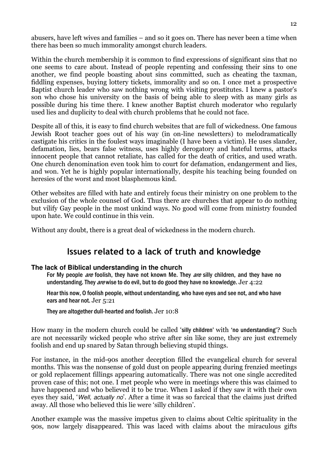abusers, have left wives and families – and so it goes on. There has never been a time when there has been so much immorality amongst church leaders.

Within the church membership it is common to find expressions of significant sins that no one seems to care about. Instead of people repenting and confessing their sins to one another, we find people boasting about sins committed, such as cheating the taxman, fiddling expenses, buying lottery tickets, immorality and so on. I once met a prospective Baptist church leader who saw nothing wrong with visiting prostitutes. I knew a pastor's son who chose his university on the basis of being able to sleep with as many girls as possible during his time there. I knew another Baptist church moderator who regularly used lies and duplicity to deal with church problems that he could not face.

Despite all of this, it is easy to find church websites that are full of wickedness. One famous Jewish Root teacher goes out of his way (in on-line newsletters) to melodramatically castigate his critics in the foulest ways imaginable (I have been a victim). He uses slander, defamation, lies, bears false witness, uses highly derogatory and hateful terms, attacks innocent people that cannot retaliate, has called for the death of critics, and used wrath. One church denomination even took him to court for defamation, endangerment and lies, and won. Yet he is highly popular internationally, despite his teaching being founded on heresies of the worst and most blasphemous kind.

Other websites are filled with hate and entirely focus their ministry on one problem to the exclusion of the whole counsel of God. Thus there are churches that appear to do nothing but vilify Gay people in the most unkind ways. No good will come from ministry founded upon hate. We could continue in this vein.

Without any doubt, there is a great deal of wickedness in the modern church.

### Issues related to a lack of truth and knowledge

### **The lack of Biblical understanding in the church**

For My people *are* foolish, they have not known Me. They *are* silly children, and they have no understanding. They *are* wise to do evil, but to do good they have no knowledge. Jer  $4:22$ 

Hear this now, O foolish people, without understanding, who have eyes and see not, and who have ears and hear not. Jer 5:21

They are altogether dull-hearted and foolish. Jer 10:8

How many in the modern church could be called 'silly children' with 'no understanding'? Such are not necessarily wicked people who strive after sin like some, they are just extremely foolish and end up snared by Satan through believing stupid things.

For instance, in the mid-90s another deception filled the evangelical church for several months. This was the nonsense of gold dust on people appearing during frenzied meetings or gold replacement fillings appearing automatically. There was not one single accredited proven case of this; not one. I met people who were in meetings where this was claimed to have happened and who believed it to be true. When I asked if they saw it with their own eyes they said, 'Well, actually no'. After a time it was so farcical that the claims just drifted away. All those who believed this lie were 'silly children'.

Another example was the massive impetus given to claims about Celtic spirituality in the 90s, now largely disappeared. This was laced with claims about the miraculous gifts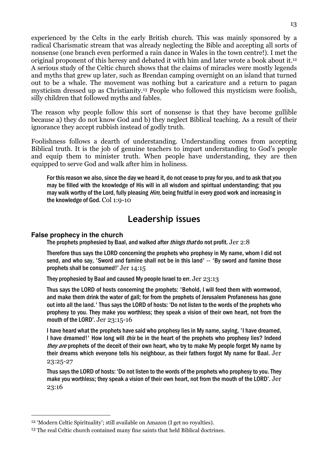experienced by the Celts in the early British church. This was mainly sponsored by a radical Charismatic stream that was already neglecting the Bible and accepting all sorts of nonsense (one branch even performed a rain dance in Wales in the town centre!). I met the original proponent of this heresy and debated it with him and later wrote a book about it.<sup>12</sup> A serious study of the Celtic church shows that the claims of miracles were mostly legends and myths that grew up later, such as Brendan camping overnight on an island that turned out to be a whale. The movement was nothing but a caricature and a return to pagan mysticism dressed up as Christianity.13 People who followed this mysticism were foolish, silly children that followed myths and fables.

The reason why people follow this sort of nonsense is that they have become gullible because a) they do not know God and b) they neglect Biblical teaching. As a result of their ignorance they accept rubbish instead of godly truth.

Foolishness follows a dearth of understanding. Understanding comes from accepting Biblical truth. It is the job of genuine teachers to impart understanding to God's people and equip them to minister truth. When people have understanding, they are then equipped to serve God and walk after him in holiness.

For this reason we also, since the day we heard it, do not cease to pray for you, and to ask that you may be filled with the knowledge of His will in all wisdom and spiritual understanding; that you may walk worthy of the Lord, fully pleasing *Him*, being fruitful in every good work and increasing in the knowledge of God. Col 1:9-10

### Leadership issues

### **False prophecy in the church**

 $\overline{a}$ 

The prophets prophesied by Baal, and walked after *things that* do not profit. Jer 2:8

Therefore thus says the LORD concerning the prophets who prophesy in My name, whom I did not send, and who say, 'Sword and famine shall not be in this land' -- 'By sword and famine those prophets shall be consumed!' Jer 14:15

They prophesied by Baal and caused My people Israel to err. Jer 23:13

Thus says the LORD of hosts concerning the prophets: 'Behold, I will feed them with wormwood, and make them drink the water of gall; for from the prophets of Jerusalem Profaneness has gone out into all the land.' Thus says the LORD of hosts: 'Do not listen to the words of the prophets who prophesy to you. They make you worthless; they speak a vision of their own heart, not from the mouth of the LORD'. Jer 23:15-16

I have heard what the prophets have said who prophesy lies in My name, saying, 'I have dreamed, I have dreamed!' How long will *this* be in the heart of the prophets who prophesy lies? Indeed they are prophets of the deceit of their own heart, who try to make My people forget My name by their dreams which everyone tells his neighbour, as their fathers forgot My name for Baal. Jer 23:25-27

Thus says the LORD of hosts: 'Do not listen to the words of the prophets who prophesy to you. They make you worthless; they speak a vision of their own heart, not from the mouth of the LORD'. Jer 23:16

<sup>12</sup> 'Modern Celtic Spirituality'; still available on Amazon (I get no royalties).

<sup>13</sup> The real Celtic church contained many fine saints that held Biblical doctrines.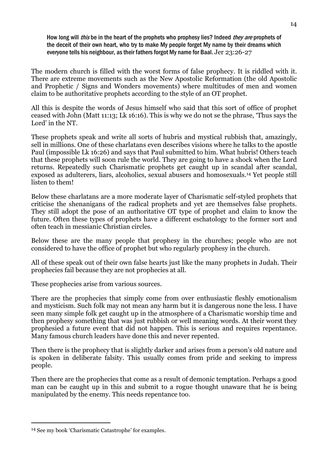How long will *this* be in the heart of the prophets who prophesy lies? Indeed *they are* prophets of the deceit of their own heart, who try to make My people forget My name by their dreams which everyone tells his neighbour, as their fathers forgot My name for Baal. Jer 23:26-27

The modern church is filled with the worst forms of false prophecy. It is riddled with it. There are extreme movements such as the New Apostolic Reformation (the old Apostolic and Prophetic / Signs and Wonders movements) where multitudes of men and women claim to be authoritative prophets according to the style of an OT prophet.

All this is despite the words of Jesus himself who said that this sort of office of prophet ceased with John (Matt 11:13; Lk 16:16). This is why we do not se the phrase, 'Thus says the Lord' in the NT.

These prophets speak and write all sorts of hubris and mystical rubbish that, amazingly, sell in millions. One of these charlatans even describes visions where he talks to the apostle Paul (impossible Lk 16:26) and says that Paul submitted to him. What hubris! Others teach that these prophets will soon rule the world. They are going to have a shock when the Lord returns. Repeatedly such Charismatic prophets get caught up in scandal after scandal, exposed as adulterers, liars, alcoholics, sexual abusers and homosexuals.14 Yet people still listen to them!

Below these charlatans are a more moderate layer of Charismatic self-styled prophets that criticise the shenanigans of the radical prophets and yet are themselves false prophets. They still adopt the pose of an authoritative OT type of prophet and claim to know the future. Often these types of prophets have a different eschatology to the former sort and often teach in messianic Christian circles.

Below these are the many people that prophesy in the churches; people who are not considered to have the office of prophet but who regularly prophesy in the church.

All of these speak out of their own false hearts just like the many prophets in Judah. Their prophecies fail because they are not prophecies at all.

These prophecies arise from various sources.

There are the prophecies that simply come from over enthusiastic fleshly emotionalism and mysticism. Such folk may not mean any harm but it is dangerous none the less. I have seen many simple folk get caught up in the atmosphere of a Charismatic worship time and then prophesy something that was just rubbish or well meaning words. At their worst they prophesied a future event that did not happen. This is serious and requires repentance. Many famous church leaders have done this and never repented.

Then there is the prophecy that is slightly darker and arises from a person's old nature and is spoken in deliberate falsity. This usually comes from pride and seeking to impress people.

Then there are the prophecies that come as a result of demonic temptation. Perhaps a good man can be caught up in this and submit to a rogue thought unaware that he is being manipulated by the enemy. This needs repentance too.

<sup>14</sup> See my book 'Charismatic Catastrophe' for examples.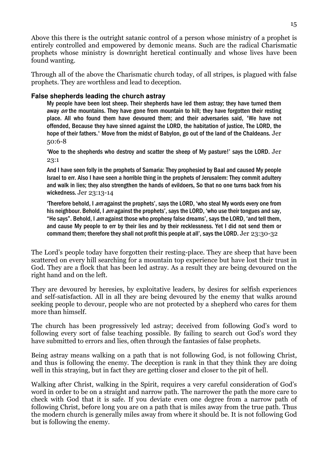Above this there is the outright satanic control of a person whose ministry of a prophet is entirely controlled and empowered by demonic means. Such are the radical Charismatic prophets whose ministry is downright heretical continually and whose lives have been found wanting.

Through all of the above the Charismatic church today, of all stripes, is plagued with false prophets. They are worthless and lead to deception.

### **False shepherds leading the church astray**

My people have been lost sheep. Their shepherds have led them astray; they have turned them away on the mountains. They have gone from mountain to hill; they have forgotten their resting place. All who found them have devoured them; and their adversaries said, 'We have not offended, Because they have sinned against the LORD, the habitation of justice, The LORD, the hope of their fathers.' Move from the midst of Babylon, go out of the land of the Chaldeans. Jer 50:6-8

'Woe to the shepherds who destroy and scatter the sheep of My pasture!' says the LORD. Jer 23:1

And I have seen folly in the prophets of Samaria: They prophesied by Baal and caused My people Israel to err. Also I have seen a horrible thing in the prophets of Jerusalem: They commit adultery and walk in lies; they also strengthen the hands of evildoers, So that no one turns back from his wickedness. Jer 23:13-14

Therefore behold, I am against the prophets', says the LORD, 'who steal My words every one from his neighbour. Behold, I am against the prophets', says the LORD, 'who use their tongues and say, "He says". Behold, I am against those who prophesy false dreams', says the LORD, 'and tell them, and cause My people to err by their lies and by their recklessness. Yet I did not send them or command them; therefore they shall not profit this people at all', says the LORD. Jer 23:30-32

The Lord's people today have forgotten their resting-place. They are sheep that have been scattered on every hill searching for a mountain top experience but have lost their trust in God. They are a flock that has been led astray. As a result they are being devoured on the right hand and on the left.

They are devoured by heresies, by exploitative leaders, by desires for selfish experiences and self-satisfaction. All in all they are being devoured by the enemy that walks around seeking people to devour, people who are not protected by a shepherd who cares for them more than himself.

The church has been progressively led astray; deceived from following God's word to following every sort of false teaching possible. By failing to search out God's word they have submitted to errors and lies, often through the fantasies of false prophets.

Being astray means walking on a path that is not following God, is not following Christ, and thus is following the enemy. The deception is rank in that they think they are doing well in this straying, but in fact they are getting closer and closer to the pit of hell.

Walking after Christ, walking in the Spirit, requires a very careful consideration of God's word in order to be on a straight and narrow path. The narrower the path the more care to check with God that it is safe. If you deviate even one degree from a narrow path of following Christ, before long you are on a path that is miles away from the true path. Thus the modern church is generally miles away from where it should be. It is not following God but is following the enemy.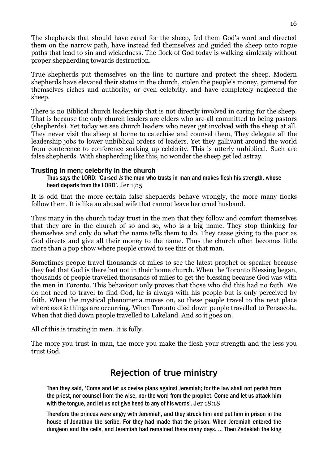The shepherds that should have cared for the sheep, fed them God's word and directed them on the narrow path, have instead fed themselves and guided the sheep onto rogue paths that lead to sin and wickedness. The flock of God today is walking aimlessly without proper shepherding towards destruction.

True shepherds put themselves on the line to nurture and protect the sheep. Modern shepherds have elevated their status in the church, stolen the people's money, garnered for themselves riches and authority, or even celebrity, and have completely neglected the sheep.

There is no Biblical church leadership that is not directly involved in caring for the sheep. That is because the only church leaders are elders who are all committed to being pastors (shepherds). Yet today we see church leaders who never get involved with the sheep at all. They never visit the sheep at home to catechise and counsel them, They delegate all the leadership jobs to lower unbiblical orders of leaders. Yet they gallivant around the world from conference to conference soaking up celebrity. This is utterly unbiblical. Such are false shepherds. With shepherding like this, no wonder the sheep get led astray.

### **Trusting in men; celebrity in the church**

Thus says the LORD: 'Cursed is the man who trusts in man and makes flesh his strength, whose heart departs from the LORD'. Jer 17:5

It is odd that the more certain false shepherds behave wrongly, the more many flocks follow them. It is like an abused wife that cannot leave her cruel husband.

Thus many in the church today trust in the men that they follow and comfort themselves that they are in the church of so and so, who is a big name. They stop thinking for themselves and only do what the name tells them to do. They cease giving to the poor as God directs and give all their money to the name. Thus the church often becomes little more than a pop show where people crowd to see this or that man.

Sometimes people travel thousands of miles to see the latest prophet or speaker because they feel that God is there but not in their home church. When the Toronto Blessing began, thousands of people travelled thousands of miles to get the blessing because God was with the men in Toronto. This behaviour only proves that those who did this had no faith. We do not need to travel to find God, he is always with his people but is only perceived by faith. When the mystical phenomena moves on, so these people travel to the next place where exotic things are occurring. When Toronto died down people travelled to Pensacola. When that died down people travelled to Lakeland. And so it goes on.

All of this is trusting in men. It is folly.

The more you trust in man, the more you make the flesh your strength and the less you trust God.

## Rejection of true ministry

Then they said, 'Come and let us devise plans against Jeremiah; for the law shall not perish from the priest, nor counsel from the wise, nor the word from the prophet. Come and let us attack him with the tongue, and let us not give heed to any of his words'. Jer 18:18

Therefore the princes were angry with Jeremiah, and they struck him and put him in prison in the house of Jonathan the scribe. For they had made that the prison. When Jeremiah entered the dungeon and the cells, and Jeremiah had remained there many days. … Then Zedekiah the king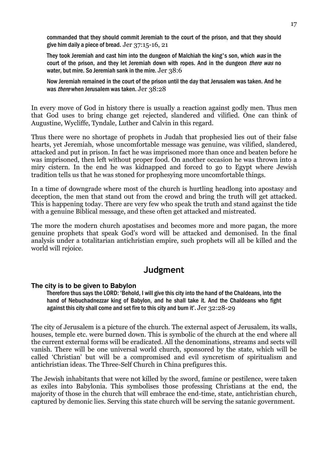commanded that they should commit Jeremiah to the court of the prison, and that they should give him daily a piece of bread. Jer 37:15-16, 21

They took Jeremiah and cast him into the dungeon of Malchiah the king's son, which was in the court of the prison, and they let Jeremiah down with ropes. And in the dungeon *there was* no water, but mire. So Jeremiah sank in the mire. Jer 38:6

Now Jeremiah remained in the court of the prison until the day that Jerusalem was taken. And he was *there* when Jerusalem was taken. Jer 38:28

In every move of God in history there is usually a reaction against godly men. Thus men that God uses to bring change get rejected, slandered and vilified. One can think of Augustine, Wycliffe, Tyndale, Luther and Calvin in this regard.

Thus there were no shortage of prophets in Judah that prophesied lies out of their false hearts, yet Jeremiah, whose uncomfortable message was genuine, was vilified, slandered, attacked and put in prison. In fact he was imprisoned more than once and beaten before he was imprisoned, then left without proper food. On another occasion he was thrown into a miry cistern. In the end he was kidnapped and forced to go to Egypt where Jewish tradition tells us that he was stoned for prophesying more uncomfortable things.

In a time of downgrade where most of the church is hurtling headlong into apostasy and deception, the men that stand out from the crowd and bring the truth will get attacked. This is happening today. There are very few who speak the truth and stand against the tide with a genuine Biblical message, and these often get attacked and mistreated.

The more the modern church apostatises and becomes more and more pagan, the more genuine prophets that speak God's word will be attacked and demonised. In the final analysis under a totalitarian antichristian empire, such prophets will all be killed and the world will rejoice.

### **Judgment**

### **The city is to be given to Babylon**

Therefore thus says the LORD: 'Behold, I will give this city into the hand of the Chaldeans, into the hand of Nebuchadnezzar king of Babylon, and he shall take it. And the Chaldeans who fight against this city shall come and set fire to this city and burn it'. Jer 32:28-29

The city of Jerusalem is a picture of the church. The external aspect of Jerusalem, its walls, houses, temple etc. were burned down. This is symbolic of the church at the end where all the current external forms will be eradicated. All the denominations, streams and sects will vanish. There will be one universal world church, sponsored by the state, which will be called 'Christian' but will be a compromised and evil syncretism of spiritualism and antichristian ideas. The Three-Self Church in China prefigures this.

The Jewish inhabitants that were not killed by the sword, famine or pestilence, were taken as exiles into Babylonia. This symbolises those professing Christians at the end, the majority of those in the church that will embrace the end-time, state, antichristian church, captured by demonic lies. Serving this state church will be serving the satanic government.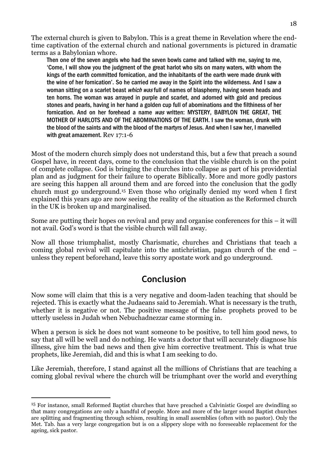The external church is given to Babylon. This is a great theme in Revelation where the endtime captivation of the external church and national governments is pictured in dramatic terms as a Babylonian whore.

Then one of the seven angels who had the seven bowls came and talked with me, saying to me, 'Come, I will show you the judgment of the great harlot who sits on many waters, with whom the kings of the earth committed fornication, and the inhabitants of the earth were made drunk with the wine of her fornication'. So he carried me away in the Spirit into the wilderness. And I saw a woman sitting on a scarlet beast *which was* full of names of blasphemy, having seven heads and ten horns. The woman was arrayed in purple and scarlet, and adorned with gold and precious stones and pearls, having in her hand a golden cup full of abominations and the filthiness of her fornication. And on her forehead a name was written: MYSTERY, BABYLON THE GREAT, THE MOTHER OF HARLOTS AND OF THE ABOMINATIONS OF THE EARTH. I saw the woman, drunk with the blood of the saints and with the blood of the martyrs of Jesus. And when I saw her, I marvelled with great amazement. Rev 17:1-6

Most of the modern church simply does not understand this, but a few that preach a sound Gospel have, in recent days, come to the conclusion that the visible church is on the point of complete collapse. God is bringing the churches into collapse as part of his providential plan and as judgment for their failure to operate Biblically. More and more godly pastors are seeing this happen all around them and are forced into the conclusion that the godly church must go underground.15 Even those who originally denied my word when I first explained this years ago are now seeing the reality of the situation as the Reformed church in the UK is broken up and marginalised.

Some are putting their hopes on revival and pray and organise conferences for this – it will not avail. God's word is that the visible church will fall away.

Now all those triumphalist, mostly Charismatic, churches and Christians that teach a coming global revival will capitulate into the antichristian, pagan church of the end – unless they repent beforehand, leave this sorry apostate work and go underground.

### Conclusion

Now some will claim that this is a very negative and doom-laden teaching that should be rejected. This is exactly what the Judaeans said to Jeremiah. What is necessary is the truth, whether it is negative or not. The positive message of the false prophets proved to be utterly useless in Judah when Nebuchadnezzar came storming in.

When a person is sick he does not want someone to be positive, to tell him good news, to say that all will be well and do nothing. He wants a doctor that will accurately diagnose his illness, give him the bad news and then give him corrective treatment. This is what true prophets, like Jeremiah, did and this is what I am seeking to do.

Like Jeremiah, therefore, I stand against all the millions of Christians that are teaching a coming global revival where the church will be triumphant over the world and everything

<sup>15</sup> For instance, small Reformed Baptist churches that have preached a Calvinistic Gospel are dwindling so that many congregations are only a handful of people. More and more of the larger sound Baptist churches are splitting and fragmenting through schism, resulting in small assemblies (often with no pastor). Only the Met. Tab. has a very large congregation but is on a slippery slope with no foreseeable replacement for the ageing, sick pastor.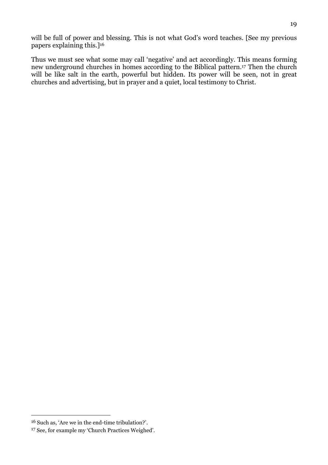will be full of power and blessing. This is not what God's word teaches. [See my previous papers explaining this.]<sup>16</sup>

Thus we must see what some may call 'negative' and act accordingly. This means forming new underground churches in homes according to the Biblical pattern.17 Then the church will be like salt in the earth, powerful but hidden. Its power will be seen, not in great churches and advertising, but in prayer and a quiet, local testimony to Christ.

<sup>16</sup> Such as, 'Are we in the end-time tribulation?'.

<sup>17</sup> See, for example my 'Church Practices Weighed'.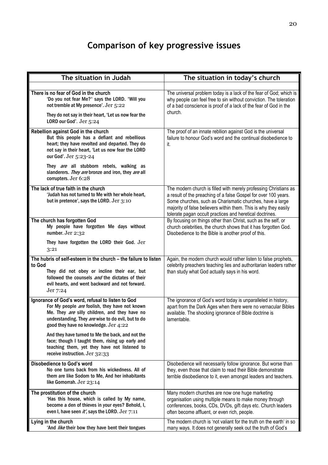# Comparison of key progressive issues

| The situation in Judah                                                                                                                                                                                                                              | The situation in today's church                                                                                                                                                                                                                                                                                                  |
|-----------------------------------------------------------------------------------------------------------------------------------------------------------------------------------------------------------------------------------------------------|----------------------------------------------------------------------------------------------------------------------------------------------------------------------------------------------------------------------------------------------------------------------------------------------------------------------------------|
|                                                                                                                                                                                                                                                     |                                                                                                                                                                                                                                                                                                                                  |
| There is no fear of God in the church<br>'Do you not fear Me?' says the LORD. 'Will you<br>not tremble at My presence'. Jer 5:22                                                                                                                    | The universal problem today is a lack of the fear of God; which is<br>why people can feel free to sin without conviction. The toleration<br>of a bad conscience is proof of a lack of the fear of God in the<br>church.                                                                                                          |
| They do not say in their heart, 'Let us now fear the<br>LORD our God'. Jer 5:24                                                                                                                                                                     |                                                                                                                                                                                                                                                                                                                                  |
| Rebellion against God in the church<br>But this people has a defiant and rebellious<br>heart; they have revolted and departed. They do<br>not say in their heart, 'Let us now fear the LORD<br>our God'. Jer 5:23-24                                | The proof of an innate rebllion against God is the universal<br>failure to honour God's word and the continual disobedience to<br>it.                                                                                                                                                                                            |
| They are all stubborn rebels, walking as<br>slanderers. They are bronze and iron, they are all<br>corrupters. Jer 6:28                                                                                                                              |                                                                                                                                                                                                                                                                                                                                  |
| The lack of true faith in the church<br>'Judah has not turned to Me with her whole heart,<br>but in pretence', says the LORD. Jer 3:10                                                                                                              | The modern church is filled with merely professing Christians as<br>a result of the preaching of a false Gospel for over 100 years.<br>Some churches, such as Charismatic churches, have a large<br>majority of false believers within them. This is why they easily<br>tolerate pagan occult practices and heretical doctrines. |
| The church has forgotten God<br>My people have forgotten Me days without<br>number. Jer 2:32                                                                                                                                                        | By focusing on things other than Christ, such as the self, or<br>church celebrities, the church shows that it has forgotten God.<br>Disobedience to the Bible is another proof of this.                                                                                                                                          |
| They have forgotten the LORD their God. Jer<br>3:21                                                                                                                                                                                                 |                                                                                                                                                                                                                                                                                                                                  |
| The hubris of self-esteem in the church - the failure to listen<br>to God                                                                                                                                                                           | Again, the modern church would rather listen to false prophets,<br>celebrity preachers teaching lies and authoritarian leaders rather                                                                                                                                                                                            |
| They did not obey or incline their ear, but<br>followed the counsels and the dictates of their<br>evil hearts, and went backward and not forward.<br>Jer 7:24                                                                                       | than study what God actually says in his word.                                                                                                                                                                                                                                                                                   |
| Ignorance of God's word, refusal to listen to God<br>For My people are foolish, they have not known<br>Me. They are silly children, and they have no<br>understanding. They are wise to do evil, but to do<br>good they have no knowledge. Jer 4:22 | The ignorance of God's word today is unparalleled in history,<br>apart from the Dark Ages when there were no vernacular Bibles<br>available. The shocking ignorance of Bible doctrine is<br>lamentable.                                                                                                                          |
| And they have turned to Me the back, and not the<br>face; though I taught them, rising up early and<br>teaching them, yet they have not listened to<br>receive instruction. Jer 32:33                                                               |                                                                                                                                                                                                                                                                                                                                  |
| <b>Disobedience to God's word</b><br>No one turns back from his wickedness. All of<br>them are like Sodom to Me, And her inhabitants<br>like Gomorrah. Jer 23:14                                                                                    | Disobedience will necessarily follow ignorance. But worse than<br>they, even those that claim to read their Bible demonstrate<br>terrible disobedience to it, even amongst leaders and teachers.                                                                                                                                 |
| The prostitution of the church<br>'Has this house, which is called by My name,<br>become a den of thieves in your eyes? Behold, I,<br>even I, have seen it', says the LORD. Jer 7:11                                                                | Many modern churches are now one huge marketing<br>organisation using multiple means to make money through<br>conferences, books, CDs, DVDs, gift days etc. Church leaders<br>often become affluent, or even rich, people.                                                                                                       |
| Lying in the church<br>'And like their bow they have bent their tongues                                                                                                                                                                             | The modern church is 'not valiant for the truth on the earth' in so<br>many ways. It does not generally seek out the truth of God's                                                                                                                                                                                              |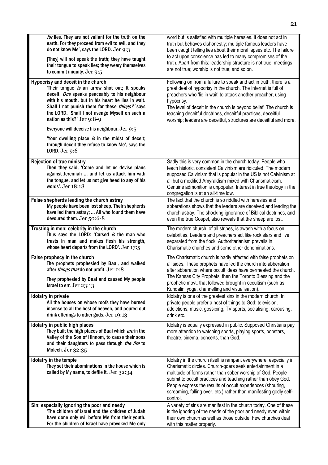| for lies. They are not valiant for the truth on the<br>earth. For they proceed from evil to evil, and they<br>do not know Me', says the LORD. Jer 9:3<br>[They] will not speak the truth; they have taught<br>their tongue to speak lies; they weary themselves<br>to commit iniquity. Jer 9:5                               | word but is satisfied with multiple heresies. It does not act in<br>truth but behaves dishonestly; multiple famous leaders have<br>been caught telling lies about their moral lapses etc. The failure<br>to act upon conscience has led to many compromises of the<br>truth. Apart from this: leadership structure is not true; meetings<br>are not true; worship is not true; and so on.                                     |
|------------------------------------------------------------------------------------------------------------------------------------------------------------------------------------------------------------------------------------------------------------------------------------------------------------------------------|-------------------------------------------------------------------------------------------------------------------------------------------------------------------------------------------------------------------------------------------------------------------------------------------------------------------------------------------------------------------------------------------------------------------------------|
| Hypocrisy and deceit in the church<br>'Their tongue is an arrow shot out; It speaks<br>deceit; One speaks peaceably to his neighbour<br>with his mouth, but in his heart he lies in wait.<br>Shall I not punish them for these things?' says<br>the LORD. 'Shall I not avenge Myself on such a<br>nation as this?' Jer 9:8-9 | Following on from a failure to speak and act in truth, there is a<br>great deal of hypocrisy in the church. The Internet is full of<br>preachers who 'lie in wait' to attack another preacher, using<br>hypocrisy.<br>The level of deceit in the church is beyond belief. The church is<br>teaching deceitful doctrines, deceitful practices, deceitful<br>worship; leaders are deceitful, structures are deceitful and more. |
| Everyone will deceive his neighbour. Jer 9:5                                                                                                                                                                                                                                                                                 |                                                                                                                                                                                                                                                                                                                                                                                                                               |
| 'Your dwelling place is in the midst of deceit;<br>through deceit they refuse to know Me', says the<br>LORD. Jer $9:6$                                                                                                                                                                                                       |                                                                                                                                                                                                                                                                                                                                                                                                                               |
| <b>Rejection of true ministry</b><br>Then they said, 'Come and let us devise plans<br>against Jeremiah  and let us attack him with<br>the tongue, and let us not give heed to any of his<br>words'. Jer 18:18                                                                                                                | Sadly this is very common in the church today. People who<br>teach historic, consistent Calvinism are ridiculed. The modern<br>supposed Calvinism that is popular in the US is not Calvinism at<br>all but a modified Amyraldism mixed with Charismaticism.<br>Genuine admonition is unpopular. Interest in true theology in the<br>congregation is at an all-time low.                                                       |
| False shepherds leading the church astray<br>My people have been lost sheep. Their shepherds<br>have led them astray;  All who found them have<br>devoured them. Jer 50:6-8                                                                                                                                                  | The fact that the church is so riddled with heresies and<br>abberations shows that the leaders are deceived and leading the<br>church astray. The shocking ignorance of Biblical doctrines, and<br>even the true Gospel, also reveals that the sheep are lost.                                                                                                                                                                |
| Trusting in men; celebrity in the church<br>Thus says the LORD: 'Cursed is the man who<br>trusts in man and makes flesh his strength,<br>whose heart departs from the LORD'. Jer 17:5                                                                                                                                        | The modern church, of all stripes, is awash with a focus on<br>celebrities. Leaders and preachers act like rock stars and live<br>separated from the flock. Authoritarianism prevails in<br>Charismatic churches and some other denominations.                                                                                                                                                                                |
| False prophecy in the church<br>The prophets prophesied by Baal, and walked<br>after things that do not profit. Jer 2:8<br>They prophesied by Baal and caused My people<br>Israel to err. Jer 23:13                                                                                                                          | The Charismatic church is badly affected with false prophets on<br>all sides. These prophets have led the church into abberation<br>after abberation where occult ideas have permeated the church.<br>The Kansas City Prophets, then the Toronto Blessing and the<br>prophetic movt. that followed brought in occultism (such as<br>Kundalini yoga, channelling and visualisation).                                           |
| Idolatry in private<br>All the houses on whose roofs they have burned<br>incense to all the host of heaven, and poured out<br>drink offerings to other gods. Jer 19:13                                                                                                                                                       | Idolatry is one of the greatest sins in the modern church. In<br>private people prefer a host of things to God: television,<br>addictions, music, gossiping, TV sports, socialising, carousing,<br>drink etc.                                                                                                                                                                                                                 |
| Idolatry in public high places<br>They built the high places of Baal which are in the<br>Valley of the Son of Hinnom, to cause their sons<br>and their daughters to pass through the fire to<br>Molech. Jer 32:35                                                                                                            | Idolatry is equally expressed in public. Supposed Christians pay<br>more attention to watching sports, playing sports, popstars,<br>theatre, cinema, concerts, than God.                                                                                                                                                                                                                                                      |
| Idolatry in the temple<br>They set their abominations in the house which is<br>called by My name, to defile it. Jer 32:34                                                                                                                                                                                                    | Idolatry in the church itself is rampant everywhere, especially in<br>Charismatic circles. Church-goers seek entertainment in a<br>multitude of forms rather than sober worship of God. People<br>submit to occult practices and teaching rather than obey God.<br>People express the results of occult experiences (shouting,<br>screaming, falling over, etc.) rather than manifesting godly self-<br>control.              |
| Sin; especially ignoring the poor and needy<br>'The children of Israel and the children of Judah<br>have done only evil before Me from their youth.<br>For the children of Israel have provoked Me only                                                                                                                      | A variety of sins are manifest in the church today. One of these<br>is the ignoring of the needs of the poor and needy even within<br>their own church as well as those outside. Few churches deal<br>with this matter properly.                                                                                                                                                                                              |